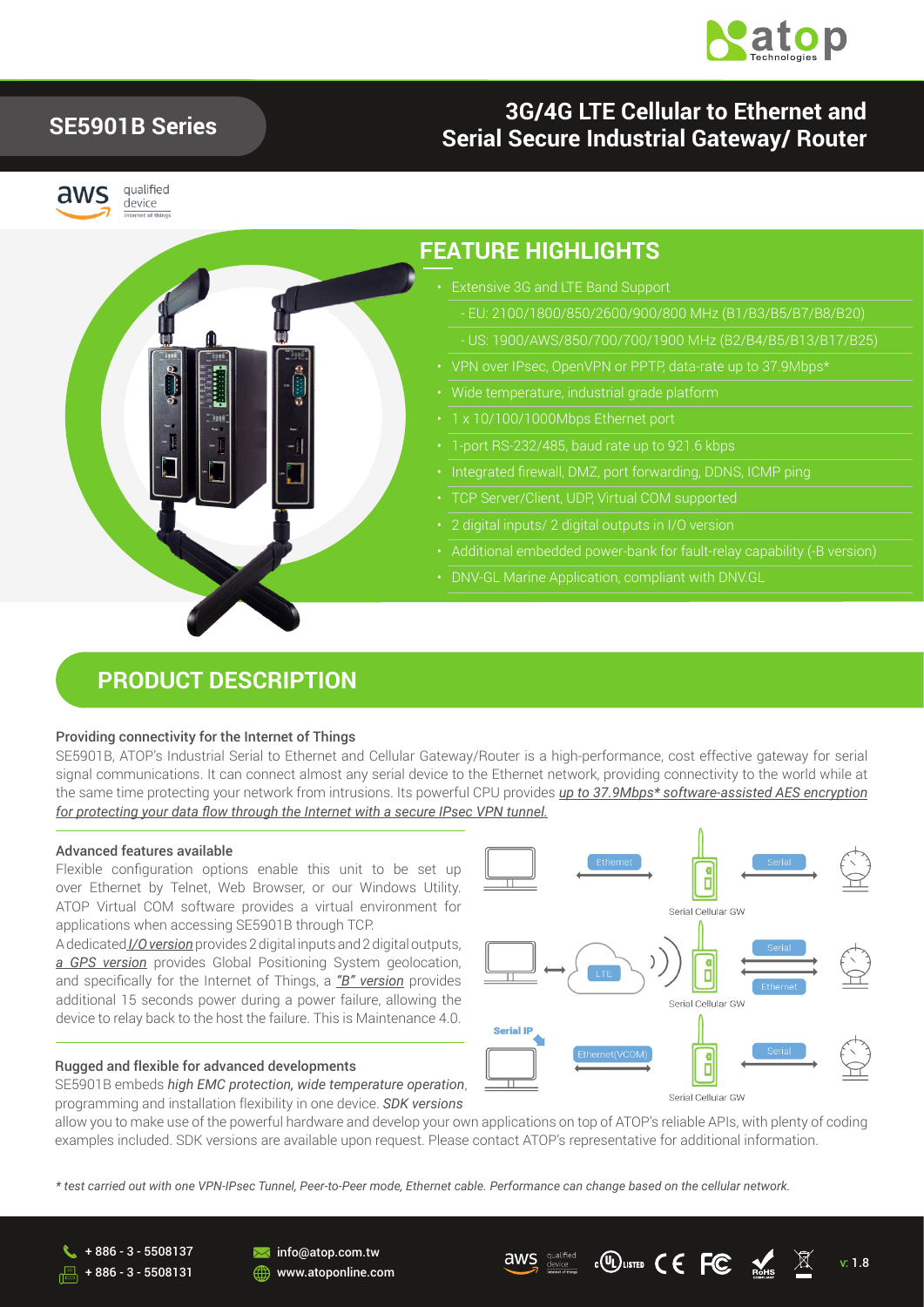

## **SE5901B Series**

# aws



qualified device

### **3G/4G LTE Cellular to Ethernet and Serial Secure Industrial Gateway/ Router**



### **FEATURE HIGHLIGHTS**

- Extensive 3G and LTE Band Support
- US: 1900/AWS/850/700/700/1900 MHz (B2/B4/B5/B13/B17/B25)
- 
- 
- 1 x 10/100/1000Mbps Ethernet port
- 
- 
- TCP Server/Client, UDP, Virtual COM supported
- 
- Additional embedded power-bank for fault-relay capability (-B version)
- DNV-GL Marine Application, compliant with DNV.GL

### **PRODUCT DESCRIPTION**

#### Providing connectivity for the Internet of Things

SE5901B, ATOP's Industrial Serial to Ethernet and Cellular Gateway/Router is a high-performance, cost effective gateway for serial signal communications. It can connect almost any serial device to the Ethernet network, providing connectivity to the world while at the same time protecting your network from intrusions. Its powerful CPU provides *up to 37.9Mbps\* software-assisted AES encryption for protecting your data flow through the Internet with a secure IPsec VPN tunnel.*

#### Advanced features available

Flexible configuration options enable this unit to be set up over Ethernet by Telnet, Web Browser, or our Windows Utility. ATOP Virtual COM software provides a virtual environment for applications when accessing SE5901B through TCP.

A dedicated *I/O version* provides 2 digital inputs and 2 digital outputs, *a GPS version* provides Global Positioning System geolocation, and specifically for the Internet of Things, a *"B" version* provides additional 15 seconds power during a power failure, allowing the device to relay back to the host the failure. This is Maintenance 4.0.

#### Rugged and flexible for advanced developments

SE5901B embeds *high EMC protection, wide temperature operation*, programming and installation flexibility in one device. *SDK versions*

Serial Cellular GW п Serial Cellular GW **Serial II** 

Serial Cellular GW

allow you to make use of the powerful hardware and develop your own applications on top of ATOP's reliable APIs, with plenty of coding examples included. SDK versions are available upon request. Please contact ATOP's representative for additional information.

*\* test carried out with one VPN-IPsec Tunnel, Peer-to-Peer mode, Ethernet cable. Performance can change based on the cellular network.* 

+ 886 - 3 - 5508137 + 886 - 3 - 5508131 **M** info@atop.com.tw **ED** www.atoponline.com

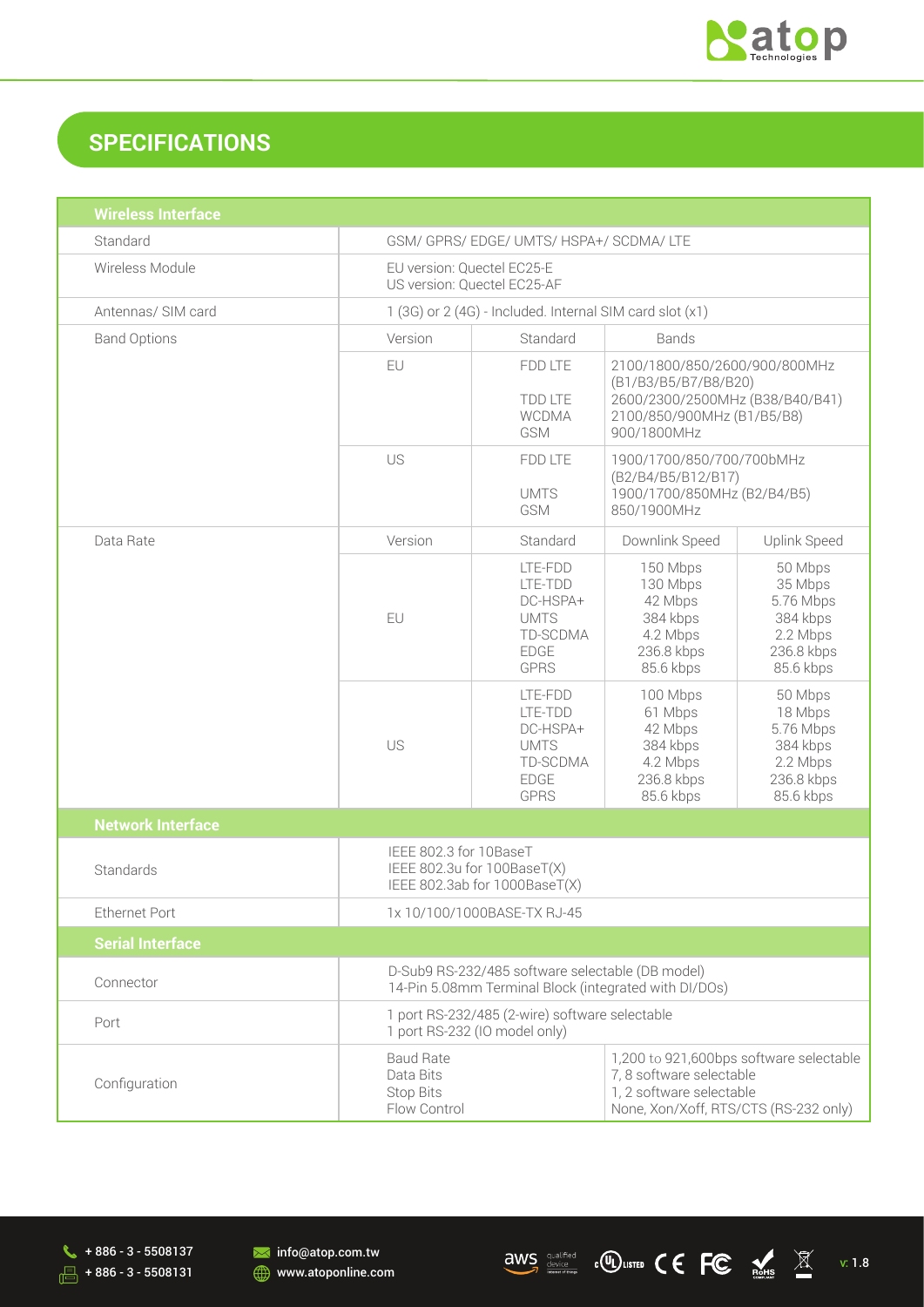

## **SPECIFICATIONS**

| <b>Wireless Interface</b> |                                                                                                                                                                                                               |                                                                                         |                                                                                                                                       |                                                                                    |
|---------------------------|---------------------------------------------------------------------------------------------------------------------------------------------------------------------------------------------------------------|-----------------------------------------------------------------------------------------|---------------------------------------------------------------------------------------------------------------------------------------|------------------------------------------------------------------------------------|
| Standard                  | GSM/ GPRS/ EDGE/ UMTS/ HSPA+/ SCDMA/ LTE                                                                                                                                                                      |                                                                                         |                                                                                                                                       |                                                                                    |
| Wireless Module           | EU version: Quectel EC25-E<br>US version: Quectel EC25-AF                                                                                                                                                     |                                                                                         |                                                                                                                                       |                                                                                    |
| Antennas/ SIM card        | 1 (3G) or 2 (4G) - Included. Internal SIM card slot (x1)                                                                                                                                                      |                                                                                         |                                                                                                                                       |                                                                                    |
| <b>Band Options</b>       | Version                                                                                                                                                                                                       | Standard<br><b>Bands</b>                                                                |                                                                                                                                       |                                                                                    |
|                           | EU                                                                                                                                                                                                            | FDD LTE<br><b>TDD LTE</b><br><b>WCDMA</b><br><b>GSM</b>                                 | 2100/1800/850/2600/900/800MHz<br>(B1/B3/B5/B7/B8/B20)<br>2600/2300/2500MHz (B38/B40/B41)<br>2100/850/900MHz (B1/B5/B8)<br>900/1800MHz |                                                                                    |
|                           | US                                                                                                                                                                                                            | FDD LTE<br><b>UMTS</b><br>GSM                                                           | 1900/1700/850/700/700bMHz<br>(B2/B4/B5/B12/B17)<br>1900/1700/850MHz (B2/B4/B5)<br>850/1900MHz                                         |                                                                                    |
| Data Rate                 | Version                                                                                                                                                                                                       | Standard                                                                                | Downlink Speed                                                                                                                        | Uplink Speed                                                                       |
|                           | EU                                                                                                                                                                                                            | LTE-FDD<br>LTE-TDD<br>DC-HSPA+<br><b>UMTS</b><br>TD-SCDMA<br><b>EDGE</b><br><b>GPRS</b> | 150 Mbps<br>130 Mbps<br>42 Mbps<br>384 kbps<br>4.2 Mbps<br>236.8 kbps<br>85.6 kbps                                                    | 50 Mbps<br>35 Mbps<br>5.76 Mbps<br>384 kbps<br>2.2 Mbps<br>236.8 kbps<br>85.6 kbps |
|                           | US                                                                                                                                                                                                            | LTE-FDD<br>LTE-TDD<br>DC-HSPA+<br><b>UMTS</b><br>TD-SCDMA<br><b>EDGE</b><br><b>GPRS</b> | 100 Mbps<br>61 Mbps<br>42 Mbps<br>384 kbps<br>4.2 Mbps<br>236.8 kbps<br>85.6 kbps                                                     | 50 Mbps<br>18 Mbps<br>5.76 Mbps<br>384 kbps<br>2.2 Mbps<br>236.8 kbps<br>85.6 kbps |
| <b>Network Interface</b>  |                                                                                                                                                                                                               |                                                                                         |                                                                                                                                       |                                                                                    |
| Standards                 | IEEE 802.3 for 10BaseT<br>IEEE 802.3u for 100BaseT(X)<br>IEEE 802.3ab for 1000BaseT(X)                                                                                                                        |                                                                                         |                                                                                                                                       |                                                                                    |
| <b>Ethernet Port</b>      | 1x 10/100/1000BASE-TX RJ-45                                                                                                                                                                                   |                                                                                         |                                                                                                                                       |                                                                                    |
| <b>Serial Interface</b>   |                                                                                                                                                                                                               |                                                                                         |                                                                                                                                       |                                                                                    |
| Connector                 | D-Sub9 RS-232/485 software selectable (DB model)<br>14-Pin 5.08mm Terminal Block (integrated with DI/DOs)                                                                                                     |                                                                                         |                                                                                                                                       |                                                                                    |
| Port                      | 1 port RS-232/485 (2-wire) software selectable<br>1 port RS-232 (IO model only)                                                                                                                               |                                                                                         |                                                                                                                                       |                                                                                    |
| Configuration             | 1,200 to 921,600bps software selectable<br><b>Baud Rate</b><br>7, 8 software selectable<br>Data Bits<br>1, 2 software selectable<br><b>Stop Bits</b><br>Flow Control<br>None, Xon/Xoff, RTS/CTS (RS-232 only) |                                                                                         |                                                                                                                                       |                                                                                    |



**M** info@atop.com.tw **WWW.atoponline.com** 

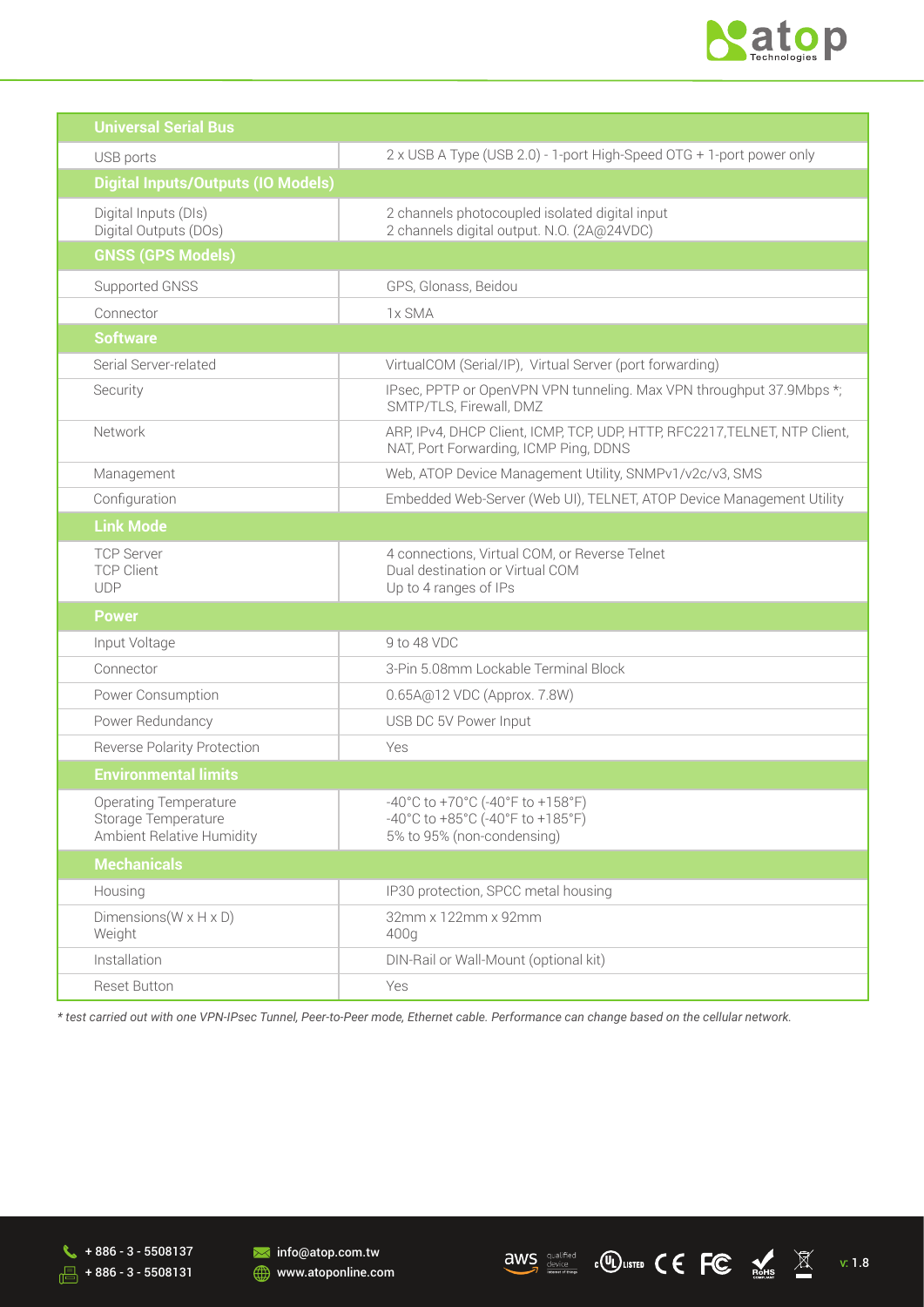

| <b>Universal Serial Bus</b>                                                      |                                                                                                                     |
|----------------------------------------------------------------------------------|---------------------------------------------------------------------------------------------------------------------|
| USB ports                                                                        | 2 x USB A Type (USB 2.0) - 1-port High-Speed OTG + 1-port power only                                                |
| <b>Digital Inputs/Outputs (IO Models)</b>                                        |                                                                                                                     |
| Digital Inputs (DIs)<br>Digital Outputs (DOs)                                    | 2 channels photocoupled isolated digital input<br>2 channels digital output. N.O. (2A@24VDC)                        |
| <b>GNSS (GPS Models)</b>                                                         |                                                                                                                     |
| Supported GNSS                                                                   | GPS, Glonass, Beidou                                                                                                |
| Connector                                                                        | 1x SMA                                                                                                              |
| <b>Software</b>                                                                  |                                                                                                                     |
| Serial Server-related                                                            | VirtualCOM (Serial/IP), Virtual Server (port forwarding)                                                            |
| Security                                                                         | IPsec, PPTP or OpenVPN VPN tunneling. Max VPN throughput 37.9Mbps *;<br>SMTP/TLS, Firewall, DMZ                     |
| Network                                                                          | ARP, IPv4, DHCP Client, ICMP, TCP, UDP, HTTP, RFC2217, TELNET, NTP Client,<br>NAT, Port Forwarding, ICMP Ping, DDNS |
| Management                                                                       | Web, ATOP Device Management Utility, SNMPv1/v2c/v3, SMS                                                             |
| Configuration                                                                    | Embedded Web-Server (Web UI), TELNET, ATOP Device Management Utility                                                |
| <b>Link Mode</b>                                                                 |                                                                                                                     |
| <b>TCP Server</b><br><b>TCP Client</b><br><b>UDP</b>                             | 4 connections, Virtual COM, or Reverse Telnet<br>Dual destination or Virtual COM<br>Up to 4 ranges of IPs           |
| <b>Power</b>                                                                     |                                                                                                                     |
| Input Voltage                                                                    | 9 to 48 VDC                                                                                                         |
| Connector                                                                        | 3-Pin 5.08mm Lockable Terminal Block                                                                                |
| Power Consumption                                                                | 0.65A@12 VDC (Approx. 7.8W)                                                                                         |
| Power Redundancy                                                                 | USB DC 5V Power Input                                                                                               |
| <b>Reverse Polarity Protection</b>                                               | Yes                                                                                                                 |
| <b>Environmental limits</b>                                                      |                                                                                                                     |
| <b>Operating Temperature</b><br>Storage Temperature<br>Ambient Relative Humidity | -40°C to +70°C (-40°F to +158°F)<br>-40°C to +85°C (-40°F to +185°F)<br>5% to 95% (non-condensing)                  |
| <b>Mechanicals</b>                                                               |                                                                                                                     |
| Housing                                                                          | IP30 protection, SPCC metal housing                                                                                 |
| Dimensions ( $W \times H \times D$ )<br>Weight                                   | 32mm x 122mm x 92mm<br>400q                                                                                         |
| Installation                                                                     | DIN-Rail or Wall-Mount (optional kit)                                                                               |
| Reset Button                                                                     | Yes                                                                                                                 |

*\* test carried out with one VPN-IPsec Tunnel, Peer-to-Peer mode, Ethernet cable. Performance can change based on the cellular network.* 

 $\leftarrow$  + 886 - 3 - 5508137  $\sqrt{3}$  + 886 - 3 - 5508131 **M** info@atop.com.tw **WWW.atoponline.com** 

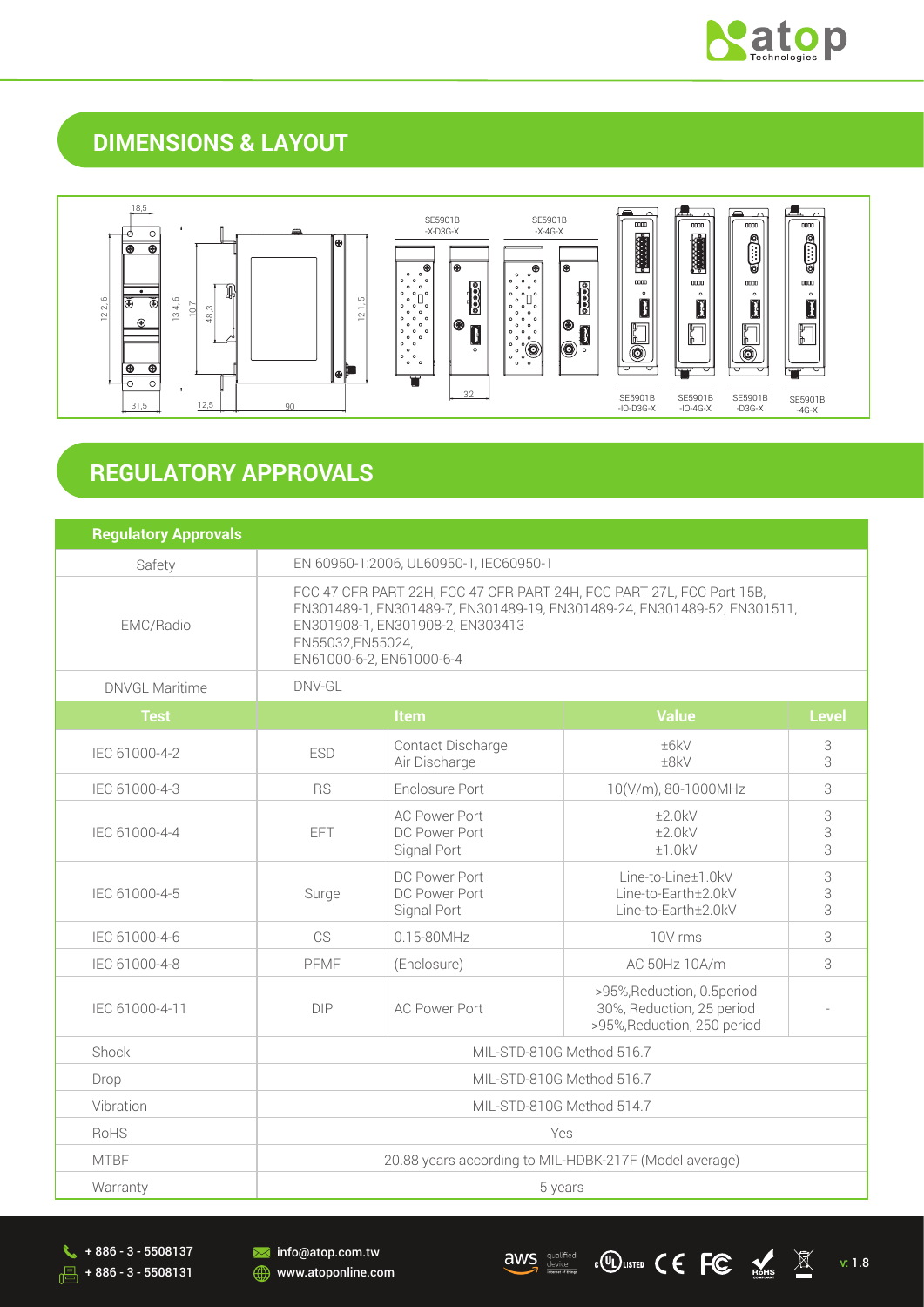

## **DIMENSIONS & LAYOUT**



## **REGULATORY APPROVALS**

| <b>Regulatory Approvals</b> |                                                                                                                                                                                                                                       |                                                      |                                                                                         |             |
|-----------------------------|---------------------------------------------------------------------------------------------------------------------------------------------------------------------------------------------------------------------------------------|------------------------------------------------------|-----------------------------------------------------------------------------------------|-------------|
| Safety                      | EN 60950-1:2006, UL60950-1, IEC60950-1                                                                                                                                                                                                |                                                      |                                                                                         |             |
| EMC/Radio                   | FCC 47 CFR PART 22H, FCC 47 CFR PART 24H, FCC PART 27L, FCC Part 15B,<br>EN301489-1, EN301489-7, EN301489-19, EN301489-24, EN301489-52, EN301511,<br>EN301908-1, EN301908-2, EN303413<br>EN55032,EN55024,<br>EN61000-6-2, EN61000-6-4 |                                                      |                                                                                         |             |
| DNVGL Maritime              | DNV-GL                                                                                                                                                                                                                                |                                                      |                                                                                         |             |
| <b>Test</b>                 | <b>Value</b><br>Item                                                                                                                                                                                                                  |                                                      | <b>Level</b>                                                                            |             |
| IEC 61000-4-2               | <b>ESD</b>                                                                                                                                                                                                                            | Contact Discharge<br>Air Discharge                   | ±6kV<br>±8kV                                                                            | 3<br>3      |
| IEC 61000-4-3               | <b>RS</b>                                                                                                                                                                                                                             | Enclosure Port                                       | 10(V/m), 80-1000MHz                                                                     | 3           |
| IEC 61000-4-4               | <b>EFT</b>                                                                                                                                                                                                                            | <b>AC Power Port</b><br>DC Power Port<br>Signal Port | ±2.0kV<br>±2.0kV<br>±1.0kV                                                              | 3<br>3<br>3 |
| IEC 61000-4-5               | Surge                                                                                                                                                                                                                                 | DC Power Port<br>DC Power Port<br>Signal Port        | Line-to-Line±1.0kV<br>Line-to-Earth±2.0kV<br>Line-to-Earth±2.0kV                        | 3<br>3<br>3 |
| IEC 61000-4-6               | CS.                                                                                                                                                                                                                                   | 0.15-80MHz                                           | 10V rms                                                                                 | 3           |
| IEC 61000-4-8               | PFMF                                                                                                                                                                                                                                  | (Enclosure)                                          | AC 50Hz 10A/m                                                                           | 3           |
| IEC 61000-4-11              | <b>DIP</b>                                                                                                                                                                                                                            | <b>AC Power Port</b>                                 | >95%, Reduction, 0.5 period<br>30%, Reduction, 25 period<br>>95%, Reduction, 250 period |             |
| Shock                       | MIL-STD-810G Method 516.7                                                                                                                                                                                                             |                                                      |                                                                                         |             |
| Drop                        | MIL-STD-810G Method 516.7                                                                                                                                                                                                             |                                                      |                                                                                         |             |
| Vibration                   | MIL-STD-810G Method 514.7                                                                                                                                                                                                             |                                                      |                                                                                         |             |
| <b>RoHS</b>                 | Yes                                                                                                                                                                                                                                   |                                                      |                                                                                         |             |
| <b>MTRF</b>                 | 20.88 years according to MIL-HDBK-217F (Model average)                                                                                                                                                                                |                                                      |                                                                                         |             |
| Warranty                    | 5 years                                                                                                                                                                                                                               |                                                      |                                                                                         |             |

 $\leftarrow$  + 886 - 3 - 5508137  $\frac{1}{\sqrt{5}}$  + 886 - 3 - 5508131 **M** info@atop.com.tw www.atoponline.com